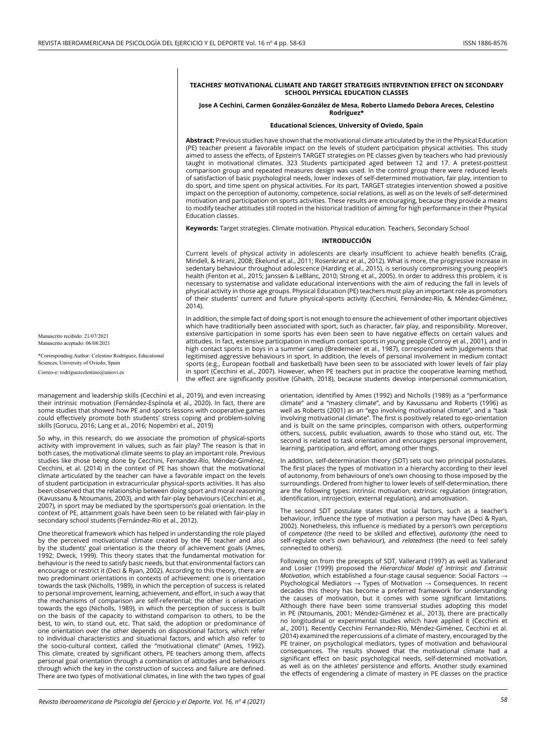### **TEACHERS' MOTIVATIONAL CLIMATE AND TARGET STRATEGIES INTERVENTION EFFECT ON SECONDARY SCHOOL PHYSICAL EDUCATION CLASSES**

## **Jose A Cechini, Carmen González-González de Mesa, Roberto Llamedo Debora Areces, Celestino Rodríguez\***

## **Educational Sciences, University of Oviedo, Spain**

**Abstract:** Previous studies have shown that the motivational climate articulated by the in the Physical Education (PE) teacher present a favorable impact on the levels of student participation physical activities. This study aimed to assess the effects, of Epstein's TARGET strategies on PE classes given by teachers who had previously taught in motivational climates. 323 Students participated aged between 12 and 17. A pretest-posttest comparison group and repeated measures design was used. In the control group there were reduced levels of satisfaction of basic psychological needs, lower indexes of self-determined motivation, fair play, intention to do sport, and time spent on physical activities. For its part, TARGET strategies intervention showed a positive impact on the perception of autonomy, competence, social relations, as well as on the levels of self-determined motivation and participation on sports activities. These results are encouraging, because they provide a means to modify teacher attitudes still rooted in the historical tradition of aiming for high performance in their Physical Education classes.

**Keywords:** Target strategies. Climate motivation. Physical education. Teachers, Secondary School

## **INTRODUCCIÓN**

Current levels of physical activity in adolescents are clearly insufficient to achieve health benefits (Craig, Mindell, & Hirani, 2008; Ekelund et al., 2011; Rosenkranz et al., 2012). What is more, the progressive increase in sedentary behaviour throughout adolescence (Harding et al., 2015), is seriously compromising young people's health (Fenton et al., 2015; Janssen & LeBlanc, 2010; Strong et al., 2005). In order to address this problem, it is necessary to systematise and validate educational interventions with the aim of reducing the fall in levels of physical activity in those age groups. Physical Education (PE) teachers must play an important role as promotors of their students' current and future physical-sports activity (Cecchini, Fernández-Río, & Méndez-Giménez, 2014).

In addition, the simple fact of doing sport is not enough to ensure the achievement of other important objectives which have traditionally been associated with sport, such as character, fair play, and responsibility. Moreover, extensive participation in some sports has even been seen to have negative effects on certain values and attitudes. In fact, extensive participation in medium contact sports in young people (Conroy et al., 2001), and in high contact sports in boys in a summer camp (Bredemeier et al., 1987), corresponded with judgements that legitimised aggressive behaviours in sport. In addition, the levels of personal involvement in medium contact sports (e.g., European football and basketball) have been seen to be associated with lower levels of fair play in sport (Cecchini et al., 2007). However, when PE teachers put in practice the cooperative learning method, the effect are significantly positive (Ghaith, 2018), because students develop interpersonal communication,

Manuscrito recibido: 21/07/2021 Manuscrito aceptado: 06/08/2021

\*Corresponding Author: Celestino Rodríguez, Educational Sciences, University of Oviedo, Spain Correo-e: rodriguezcelestino@uniovi.es

management and leadership skills (Cecchini et al., 2019), and even increasing their intrinsic motivation (Fernández-Espínola et al., 2020). In fact, there are some studies that showed how PE and sports lessons with cooperative games could effectively promote both students' stress coping and problem-solving skills (Gorucu, 2016; Lang et al., 2016; Nopembri et al., 2019)

So why, in this research, do we associate the promotion of physical-sports activity with improvement in values, such as fair play? The reason is that in both cases, the motivational climate seems to play an important role. Previous studies like those being done by Cecchini, Fernandez-Río, Méndez-Giménez, Cecchini, et al. (2014) in the context of PE has shown that the motivational climate articulated by the teacher can have a favorable impact on the levels of student participation in extracurricular physical-sports activities. It has also been observed that the relationship between doing sport and moral reasoning (Kavussanu & Ntoumanis, 2003), and with fair-play behaviours (Cecchini et al., 2007), in sport may be mediated by the sportsperson's goal orientation. In the context of PE, attainment goals have been seen to be related with fair-play in secondary school students (Fernández-Río et al., 2012).

One theoretical framework which has helped in understanding the role played by the perceived motivational climate created by the PE teacher and also by the students' goal orientation is the theory of achievement goals (Ames, 1992; Dweck, 1999). This theory states that the fundamental motivation for behaviour is the need to satisfy basic needs, but that environmental factors can encourage or restrict it (Deci & Ryan, 2002). According to this theory, there are two predominant orientations in contexts of achievement: one is orientation towards the task (Nicholls, 1989), in which the perception of success is related to personal improvement, learning, achievement, and effort, in such a way that the mechanisms of comparison are self-referential; the other is orientation towards the ego (Nicholls, 1989), in which the perception of success is built on the basis of the capacity to withstand comparison to others, to be the best, to win, to stand out, etc. That said, the adoption or predominance of one orientation over the other depends on dispositional factors, which refer to individual characteristics and situational factors, and which also refer to the socio-cultural context, called the "motivational climate" (Ames, 1992). This climate, created by significant others, PE teachers among them, affects personal goal orientation through a combination of attitudes and behaviours through which the key in the construction of success and failure are defined. There are two types of motivational climates, in line with the two types of goal

orientation, identified by Ames (1992) and Nicholls (1989) as a "performance climate" and a "mastery climate", and by Kavussanu and Roberts (1996) as well as Roberts (2001) as an "ego involving motivational climate", and a "task involving motivational climate". The first is positively related to ego-orientation and is built on the same principles, comparison with others, outperforming others, success, public evaluation, awards to those who stand out, etc. The second is related to task orientation and encourages personal improvement, learning, participation, and effort, among other things.

In addition, self-determination theory (SDT) sets out two principal postulates. The first places the types of motivation in a hierarchy according to their level of autonomy, from behaviours of one's own choosing to those imposed by the surroundings. Ordered from higher to lower levels of self-determination, there are the following types: intrinsic motivation, extrinsic regulation (integration, identification, introjection, external regulation), and amotivation.

The second SDT postulate states that social factors, such as a teacher's behaviour, influence the type of motivation a person may have (Deci & Ryan, 2002). Nonetheless, this influence is mediated by a person's own perceptions of *competence* (the need to be skilled and effective), *autonomy* (the need to self-regulate one's own behaviour), and *relatedness* (the need to feel safely connected to others).

Following on from the precepts of SDT, Vallerand (1997) as well as Vallerand and Losier (1999) proposed the *Hierarchical Model of Intrinsic and Extrinsic Motivation*, which established a four-stage causal sequence: Social Factors → Psychological Mediators  $\rightarrow$  Types of Motivation  $\rightarrow$  Consequences. In recent decades this theory has become a preferred framework for understanding the causes of motivation, but it comes with some significant limitations. Although there have been some transversal studies adopting this model in PE (Ntoumanis, 2001; Méndez-Giménez et al., 2013), there are practically no longitudinal or experimental studies which have applied it (Cecchini et al., 2001). Recently Cecchini Fernandez-Río, Méndez-Giménez, Cecchini et al. (2014) examined the repercussions of a climate of mastery, encouraged by the PE trainer, on psychological mediators, types of motivation and behavioural consequences. The results showed that the motivational climate had a significant effect on basic psychological needs, self-determined motivation, as well as on the athletes' persistence and efforts. Another study examined the effects of engendering a climate of mastery in PE classes on the practice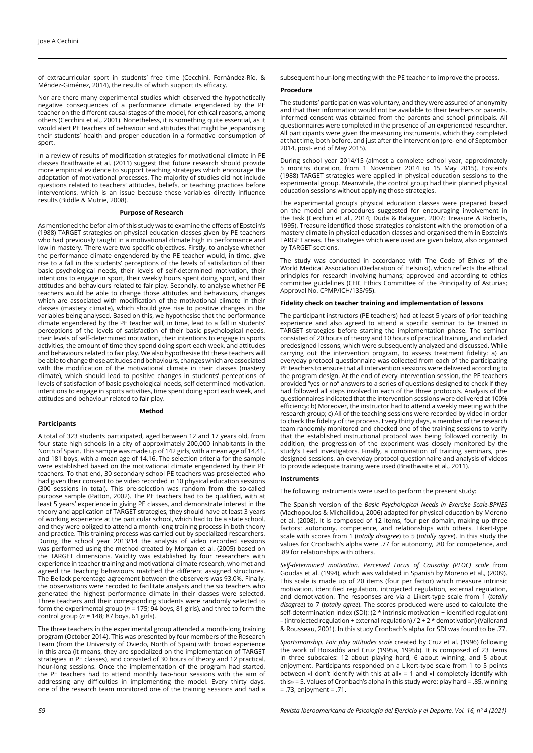of extracurricular sport in students' free time (Cecchini, Fernández-Río, & Méndez-Giménez, 2014), the results of which support its efficacy.

Nor are there many experimental studies which observed the hypothetically negative consequences of a performance climate engendered by the PE teacher on the different causal stages of the model, for ethical reasons, among others (Cecchini et al., 2001). Nonetheless, it is something quite essential, as it would alert PE teachers of behaviour and attitudes that might be jeopardising their students' health and proper education in a formative consumption of sport.

In a review of results of modification strategies for motivational climate in PE classes Braithwaite et al. (2011) suggest that future research should provide more empirical evidence to support teaching strategies which encourage the adaptation of motivational processes. The majority of studies did not include questions related to teachers' attitudes, beliefs, or teaching practices before interventions, which is an issue because these variables directly influence results (Biddle & Mutrie, 2008).

### **Purpose of Research**

As mentioned the befor aim of this study was to examine the effects of Epstein's (1988) TARGET strategies on physical education classes given by PE teachers who had previously taught in a motivational climate high in performance and low in mastery. There were two specific objectives. Firstly, to analyse whether the performance climate engendered by the PE teacher would, in time, give rise to a fall in the students' perceptions of the levels of satisfaction of their basic psychological needs, their levels of self-determined motivation, their intentions to engage in sport, their weekly hours spent doing sport, and their attitudes and behaviours related to fair play. Secondly, to analyse whether PE teachers would be able to change those attitudes and behaviours, changes which are associated with modification of the motivational climate in their classes (mastery climate), which should give rise to positive changes in the variables being analysed. Based on this, we hypothesise that the performance climate engendered by the PE teacher will, in time, lead to a fall in students' perceptions of the levels of satisfaction of their basic psychological needs, their levels of self-determined motivation, their intentions to engage in sports activities, the amount of time they spend doing sport each week, and attitudes and behaviours related to fair play. We also hypothesise tht these teachers will be able to change those attitudes and behaviours, changes which are associated with the modification of the motivational climate in their classes (mastery climate), which should lead to positive changes in students' perceptions of levels of satisfaction of basic psychological needs, self determined motivation, intentions to engage in sports activities, time spent doing sport each week, and attitudes and behaviour related to fair play.

### **Method**

### **Participants**

A total of 323 students participated, aged between 12 and 17 years old, from four state high schools in a city of approximately 200,000 inhabitants in the North of Spain. This sample was made up of 142 girls, with a mean age of 14.41, and 181 boys, with a mean age of 14.16. The selection criteria for the sample were established based on the motivational climate engendered by their PE teachers. To that end, 30 secondary school PE teachers was preselected who had given their consent to be video recorded in 10 physical education sessions (300 sessions in total). This pre-selection was random from the so-called purpose sample (Patton, 2002). The PE teachers had to be qualified, with at least 5 years' experience in giving PE classes, and demonstrate interest in the theory and application of TARGET strategies, they should have at least 3 years of working experience at the particular school, which had to be a state school, and they were obliged to attend a month-long training process in both theory and practice. This training process was carried out by specialized researchers. During the school year 2013/14 the analysis of video recorded sessions was performed using the method created by Morgan et al. (2005) based on the TARGET dimensions. Validity was established by four researchers with experience in teacher training and motivational climate research, who met and agreed the teaching behaviours matched the different assigned structures. The Bellack percentage agreement between the observers was 93.0%. Finally, the observations were recoded to facilitate analysis and the six teachers who generated the highest performance climate in their classes were selected. Three teachers and their corresponding students were randomly selected to form the experimental group (*n* = 175; 94 boys, 81 girls), and three to form the control group (*n* = 148; 87 boys, 61 girls).

The three teachers in the experimental group attended a month-long training program (October 2014). This was presented by four members of the Research Team (from the University of Oviedo, North of Spain) with broad experience in this area (it means, they are specialized on the implementation of TARGET strategies in PE classes), and consisted of 30 hours of theory and 12 practical, hour-long sessions. Once the implementation of the program had started, the PE teachers had to attend monthly two-hour sessions with the aim of addressing any difficulties in implementing the model. Every thirty days, one of the research team monitored one of the training sessions and had a

subsequent hour-long meeting with the PE teacher to improve the process.

## **Procedure**

The students' participation was voluntary, and they were assured of anonymity and that their information would not be available to their teachers or parents. Informed consent was obtained from the parents and school principals. All questionnaires were completed in the presence of an experienced researcher. All participants were given the measuring instruments, which they completed at that time, both before, and just after the intervention (pre- end of September 2014, post- end of May 2015).

During school year 2014/15 (almost a complete school year, approximately 5 months duration, from 1 November 2014 to 15 May 2015), Epstein's (1988) TARGET strategies were applied in physical education sessions to the experimental group. Meanwhile, the control group had their planned physical education sessions without applying those strategies.

The experimental group's physical education classes were prepared based on the model and procedures suggested for encouraging involvement in the task (Cecchini et al.*,* 2014; Duda & Balaguer, 2007; Treasure & Roberts, 1995). Treasure identified those strategies consistent with the promotion of a mastery climate in physical education classes and organised them in Epstein's TARGET areas. The strategies which were used are given below, also organised by TARGET sections.

The study was conducted in accordance with The Code of Ethics of the World Medical Association (Declaration of Helsinki), which reflects the ethical principles for research involving humans; approved and according to ethics committee guidelines (CEIC Ethics Committee of the Principality of Asturias; Approval No. CPMP/ICH/135/95).

#### **Fidelity check on teacher training and implementation of lessons**

The participant instructors (PE teachers) had at least 5 years of prior teaching experience and also agreed to attend a specific seminar to be trained in TARGET strategies before starting the implementation phase. The seminar consisted of 20 hours of theory and 10 hours of practical training, and included predesigned lessons, which were subsequently analyzed and discussed. While carrying out the intervention program, to assess treatment fidelity: a) an everyday protocol questionnaire was collected from each of the participating PE teachers to ensure that all intervention sessions were delivered according to the program design. At the end of every intervention session, the PE teachers provided "yes or no" answers to a series of questions designed to check if they had followed all steps involved in each of the three protocols. Analysis of the questionnaires indicated that the intervention sessions were delivered at 100% efficiency; b) Moreover, the instructor had to attend a weekly meeting with the research group; c) All of the teaching sessions were recorded by video in order to check the fidelity of the process. Every thirty days, a member of the research team randomly monitored and checked one of the training sessions to verify that the established instructional protocol was being followed correctly. In addition, the progression of the experiment was closely monitored by the study's Lead investigators. Finally, a combination of training seminars, predesigned sessions, an everyday protocol questionnaire and analysis of videos to provide adequate training were used (Braithwaite et al., 2011).

### **Instruments**

The following instruments were used to perform the present study:

The Spanish version of the *Basic Psychological Needs in Exercise Scale-BPNES* (Vlachopoulos & Michailidou, 2006) adapted for physical education by Moreno et al. (2008). It is composed of 12 items, four per domain, making up three factors: autonomy, competence, and relationships with others. Likert-type scale with scores from 1 (*totally disagree*) to 5 (*totally agree*). In this study the values for Cronbach's alpha were .77 for autonomy, .80 for competence, and .89 for relationships with others.

*Self-determined motivation*. *Perceived Locus of Causality (PLOC) scale* from Goudas et al. (1994), which was validated in Spanish by Moreno et al.*,* (2009). This scale is made up of 20 items (four per factor) which measure intrinsic motivation, identified regulation, introjected regulation, external regulation, and demotivation. The responses are via a Likert-type scale from 1 (*totally disagree*) to 7 (*totally agree*). The scores produced were used to calculate the self-determination index (SDI): (2 \* intrinsic motivation + identified regulation) – (introjected regulation + external regulation) / 2 + 2 \* demotivation) (Vallerand & Rousseau, 2001). In this study Cronbach's alpha for SDI was found to be .77.

*Sportsmanship. Fair play attitudes scale* created by Cruz et al. (1996) following the work of Boixadós and Cruz (1995a, 1995b). It is composed of 23 items in three subscales: 12 about playing hard, 6 about winning, and 5 about enjoyment. Participants responded on a Likert-type scale from 1 to 5 points between «I don't identify with this at all» = 1 and «I completely identify with this» = 5. Values of Cronbach's alpha in this study were: play hard = .85, winning = .73, enjoyment = .71.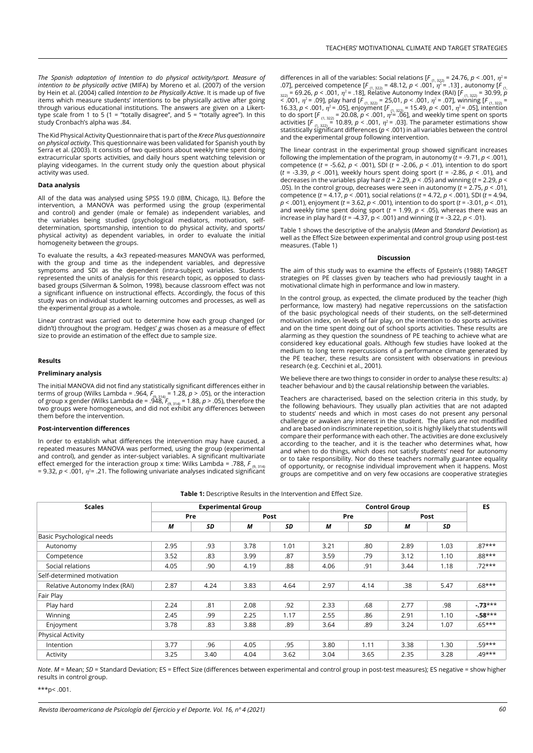*The Spanish adaptation of Intention to do physical activity/sport. Measure of intention to be physically active* (MIFA) by Moreno et al. (2007) of the version by Hein et al. (2004) called *Intention to be Physically Active*. It is made up of five items which measure students' intentions to be physically active after going through various educational institutions. The answers are given on a Likerttype scale from 1 to 5 (1 = "totally disagree", and 5 = "totally agree"). In this study Cronbach's alpha was .84.

The Kid Physical Activity Questionnaire that is part of the *Krece Plus questionnaire on physical activity*. This questionnaire was been validated for Spanish youth by Serra et al. (2003). It consists of two questions about weekly time spent doing extracurricular sports activities, and daily hours spent watching television or playing videogames. In the current study only the question about physical activity was used.

# **Data analysis**

All of the data was analysed using SPSS 19.0 (IBM, Chicago, IL). Before the intervention, a MANOVA was performed using the group (experimental and control) and gender (male or female) as independent variables, and the variables being studied (psychological mediators, motivation, selfdetermination, sportsmanship, intention to do physical activity, and sports/ physical activity) as dependent variables, in order to evaluate the initial homogeneity between the groups.

To evaluate the results, a 4x3 repeated-measures MANOVA was performed, with the group and time as the independent variables, and depressive symptoms and SDI as the dependent (intra-subject) variables. Students represented the units of analysis for this research topic, as opposed to classbased groups (Silverman & Solmon, 1998), because classroom effect was not a significant influence on instructional effects. Accordingly, the focus of this study was on individual student learning outcomes and processes, as well as the experimental group as a whole.

Linear contrast was carried out to determine how each group changed (or didn't) throughout the program. Hedges' *g* was chosen as a measure of effect size to provide an estimation of the effect due to sample size.

### **Results**

# **Preliminary analysis**

The initial MANOVA did not find any statistically significant differences either in terms of group (Wilks Lambda = .964, *F*(9, 314) = 1.28, *p* > .05), or the interaction of group x gender (Wilks Lambda de = .948, *F<sub>(9, 314)</sub> = 1.88, p > .*05), therefore the<br>two groups were homogeneous, and did not exhibit any differences between them before the intervention.

### **Post-intervention differences**

In order to establish what differences the intervention may have caused, a repeated measures MANOVA was performed, using the group (experimental and control), and gender as inter-subject variables. A significant multivariate effect emerged for the interaction group x time: Wilks Lambda = .788, F<sub>(9, 314)</sub> = 9.32,  $p <$  .001,  $\eta$ <sup>2</sup> = .21. The following univariate analyses indicated significant differences in all of the variables: Social relations [ $F_{(1, 322)} = 24.76$ ,  $p < .001$ ,  $\eta^2 =$ .07], perceived competence [*F* (1, 322) = 48.12, *p* < .001, η<sup>2</sup> = .13] , autonomy [*F* (1, 322) = 69.26, *p* < .001, η<sup>2</sup> = .18], Relative Autonomy Index (RAI) [*F* (1, 322) = 30.99, *p* < .001, η<sup>2</sup> = .09], play hard [*F* (1, 322) = 25,01, *p* < .001, η<sup>2</sup> = .07], winning [*F* (1, 322) = 16.33, *p* < .001, η<sup>2</sup> = .05], enjoyment [*F* (1, 322) = 15.49, *p* < .001, η<sup>2</sup> = .05], intention to do sport [ $F_{(1, 322)}$  = 20.08,  $p < .001$ ,  $\eta^2$  = .06], and weekly time spent on sports activities  $[F_{(1, 322)} = 10.89, p < .001, \eta^2 = .03]$ . The parameter estimations show statistically significant differences ( $p < .001$ ) in all variables between the control and the experimental group following intervention.

The linear contrast in the experimental group showed significant increases following the implementation of the program, in autonomy (*t* = -9.71, *p* < .001), competence (*t* = -5.62, *p* < .001), SDI (*t* = -2.06, *p* < .01), intention to do sport (*t* = -3.39, *p* < .001), weekly hours spent doing sport (*t* = -2.86, *p* < .01), and decreases in the variables play hard  $(t = 2.29, p < .05)$  and winning  $(t = 2.29, p < .05)$ .05). In the control group, decreases were seen in autonomy (*t* = 2.75, *p* < .01), competence (*t* = 4.17, *p* < .001), social relations (*t* = 4.72, *p* < .001), SDI (*t* = 4.94, *p* < .001), enjoyment (*t* = 3.62, *p* < .001), intention to do sport (*t* = -3.01, *p* < .01), and weekly time spent doing sport ( $t = 1.99$ ,  $p < .05$ ), whereas there was an increase in play hard (*t* = -4.37, p < .001) and winning (*t* = -3.22, *p* < .01).

Table 1 shows the descriptive of the analysis (*Mean* and *Standard Deviation*) as well as the Effect Size between experimental and control group using post-test measures. (Table 1)

### **Discussion**

The aim of this study was to examine the effects of Epstein's (1988) TARGET strategies on PE classes given by teachers who had previously taught in a motivational climate high in performance and low in mastery.

In the control group, as expected, the climate produced by the teacher (high performance, low mastery) had negative repercussions on the satisfaction of the basic psychological needs of their students, on the self-determined motivation index, on levels of fair play, on the intention to do sports activities and on the time spent doing out of school sports activities. These results are alarming as they question the soundness of PE teaching to achieve what are considered key educational goals. Although few studies have looked at the medium to long term repercussions of a performance climate generated by the PE teacher, these results are consistent with observations in previous research (e.g. Cecchini et al., 2001).

We believe there are two things to consider in order to analyse these results: a) teacher behaviour and b) the causal relationship between the variables.

Teachers are characterised, based on the selection criteria in this study, by the following behaviours. They usually plan activities that are not adapted to students' needs and which in most cases do not present any personal challenge or awaken any interest in the student. The plans are not modified and are based on indiscriminate repetition, so it is highly likely that students will compare their performance with each other. The activities are done exclusively according to the teacher, and it is the teacher who determines what, how and when to do things, which does not satisfy students' need for autonomy or to take responsibility. Nor do these teachers normally guarantee equality of opportunity, or recognise individual improvement when it happens. Most groups are competitive and on very few occasions are cooperative strategies

**Table 1:** Descriptive Results in the Intervention and Effect Size.

| <b>Scales</b>                 | <b>Experimental Group</b> |      |      |      | <b>Control Group</b> |      |      |      | ES       |
|-------------------------------|---------------------------|------|------|------|----------------------|------|------|------|----------|
|                               | Pre                       |      | Post |      | Pre                  |      | Post |      |          |
|                               | M                         | SD   | М    | SD   | M                    | SD   | М    | SD   |          |
| Basic Psychological needs     |                           |      |      |      |                      |      |      |      |          |
| Autonomy                      | 2.95                      | .93  | 3.78 | 1.01 | 3.21                 | .80  | 2.89 | 1.03 | $.87***$ |
| Competence                    | 3.52                      | .83  | 3.99 | .87  | 3.59                 | .79  | 3.12 | 1.10 | $.88***$ |
| Social relations              | 4.05                      | .90  | 4.19 | .88  | 4.06                 | .91  | 3.44 | 1.18 | $.72***$ |
| Self-determined motivation    |                           |      |      |      |                      |      |      |      |          |
| Relative Autonomy Index (RAI) | 2.87                      | 4.24 | 3.83 | 4.64 | 2.97                 | 4.14 | .38  | 5.47 | $.68***$ |
| Fair Play                     |                           |      |      |      |                      |      |      |      |          |
| Play hard                     | 2.24                      | .81  | 2.08 | .92  | 2.33                 | .68  | 2.77 | .98  | $-73***$ |
| Winning                       | 2.45                      | .99  | 2.25 | 1.17 | 2.55                 | .86  | 2.91 | 1.10 | $-58***$ |
| Enjoyment                     | 3.78                      | .83  | 3.88 | .89  | 3.64                 | .89  | 3.24 | 1.07 | $.65***$ |
| <b>Physical Activity</b>      |                           |      |      |      |                      |      |      |      |          |
| Intention                     | 3.77                      | .96  | 4.05 | .95  | 3.80                 | 1.11 | 3.38 | 1.30 | $.59***$ |
| Activity                      | 3.25                      | 3.40 | 4.04 | 3.62 | 3.04                 | 3.65 | 2.35 | 3.28 | $.49***$ |

*Note*. *M* = Mean; *SD* = Standard Deviation; ES = Effect Size (differences between experimental and control group in post-test measures); ES negative = show higher results in control group.

\*\*\*p< .001.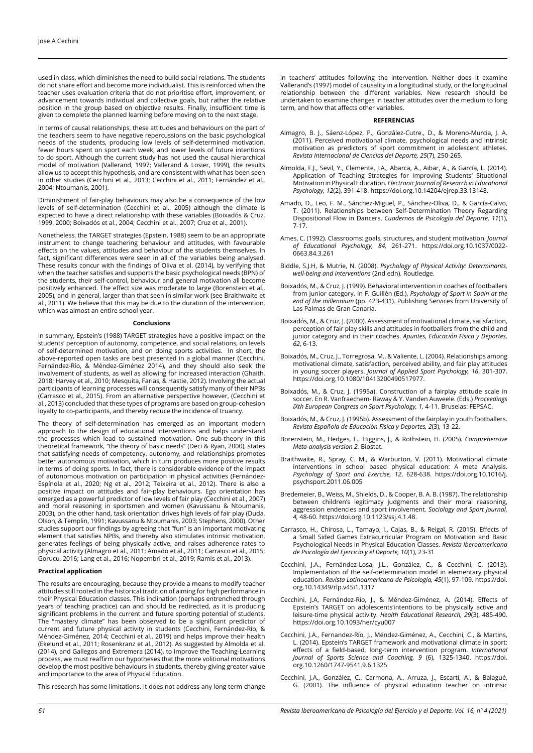used in class, which diminishes the need to build social relations. The students do not share effort and become more individualist. This is reinforced when the teacher uses evaluation criteria that do not prioritise effort, improvement, or advancement towards individual and collective goals, but rather the relative position in the group based on objective results. Finally, insufficient time is given to complete the planned learning before moving on to the next stage.

In terms of causal relationships, these attitudes and behaviours on the part of the teachers seem to have negative repercussions on the basic psychological needs of the students, producing low levels of self-determined motivation, fewer hours spent on sport each week, and lower levels of future intentions to do sport. Although the current study has not used the causal hierarchical model of motivation (Vallerand, 1997; Vallerand & Losier, 1999), the results allow us to accept this hypothesis, and are consistent with what has been seen in other studies (Cecchini et al., 2013; Cecchini et al., 2011; Fernández et al., 2004; Ntoumanis, 2001).

Diminishment of fair-play behaviours may also be a consequence of the low levels of self-determination (Cecchini et al., 2005) although the climate is expected to have a direct relationship with these variables (Boixadós & Cruz, 1999, 2000; Boixadós et al., 2004; Cecchini et al., 2007; Cruz et al., 2001).

Nonetheless, the TARGET strategies (Epstein, 1988) seem to be an appropriate instrument to change teachering behaviour and attitudes, with favourable effects on the values, attitudes and behaviour of the students themselves. In fact, significant differences were seen in all of the variables being analysed. These results concur with the findings of Oliva et al. (2014), by verifying that when the teacher satisfies and supports the basic psychological needs (BPN) of the students, their self-control, behaviour and general motivation all become positively enhanced. The effect size was moderate to large (Borenstein et al., 2005), and in general, larger than that seen in similar work (see Braithwaite et al., 2011). We believe that this may be due to the duration of the intervention, which was almost an entire school year.

#### **Conclusions**

In summary, Epstein's (1988) TARGET strategies have a positive impact on the students' perception of autonomy, competence, and social relations, on levels of self-determined motivation, and on doing sports activities. In short, the above-reported open tasks are best presented in a global manner (Cecchini, Fernández-Río, & Méndez-Giménez 2014), and they should also seek the involvement of students, as well as allowing for increased interaction (Ghaith, 2018; Harvey et al., 2010; Mesquita, Farias, & Hastie, 2012). Involving the actual participants of learning processes will consequently satisfy many of their NPBs (Carrasco et al., 2015). From an alternative perspective however, (Cecchini et al., 2013) concluded that these types of programs are based on group-cohesion loyalty to co-participants, and thereby reduce the incidence of truancy.

The theory of self-determination has emerged as an important modern approach to the design of educational interventions and helps understand the processes which lead to sustained motivation. One sub-theory in this theoretical framework, "the theory of basic needs" (Deci & Ryan, 2000), states that satisfying needs of competency, autonomy, and relationships promotes better autonomous motivation, which in turn produces more positive results in terms of doing sports. In fact, there is considerable evidence of the impact of autonomous motivation on participation in physical activities (Fernández-Espínola et al., 2020; Ng et al., 2012; Teixeira et al., 2012). There is also a positive impact on attitudes and fair-play behaviours. Ego orientation has emerged as a powerful predictor of low levels of fair play (Cecchini et al., 2007) and moral reasoning in sportsmen and women (Kavussanu & Ntoumanis, 2003), on the other hand, task orientation drives high levels of fair play (Duda, Olson, & Templin, 1991; Kavussanu & Ntoumanis, 2003; Stephens, 2000). Other studies support our findings by agreeing that "fun" is an important motivating element that satisfies NPBs, and thereby also stimulates intrinsic motivation, generates feelings of being physically active, and raises adherence rates to physical activity (Almagro et al., 2011; Amado et al., 2011; Carrasco et al., 2015; Gorucu, 2016; Lang et al., 2016; Nopembri et al., 2019; Ramis et al., 2013).

# **Practical application**

The results are encouraging, because they provide a means to modify teacher attitudes still rooted in the historical tradition of aiming for high performance in their Physical Education classes. This inclination (perhaps entrenched through years of teaching practice) can and should be redirected, as it is producing significant problems in the current and future sporting potential of students. The "mastery climate" has been observed to be a significant predictor of current and future physical activity in students (Cecchini, Fernández-Río, & Méndez-Giménez, 2014; Cecchini et al., 2019) and helps improve their health (Ekelund et al., 2011; Rosenkranz et al., 2012). As suggested by Almolda et al. (2014), and Gallegos and Extremera (2014), to improve the Teaching-Learning process, we must reaffirm our hypotheses that the more volitional motivations develop the most positive behaviours in students, thereby giving greater value and importance to the area of Physical Education.

This research has some limitations. It does not address any long term change

in teachers' attitudes following the intervention. Neither does it examine Vallerand's (1997) model of causality in a longitudinal study, or the longitudinal relationship between the different variables. New research should be undertaken to examine changes in teacher attitudes over the medium to long term, and how that affects other variables.

### **REFERENCIAS**

- Almagro, B. J., Sáenz-López, P., González-Cutre., D., & Moreno-Murcia, J. A. (2011). Perceived motivational climate, psychological needs and intrinsic motivation as predictors of sport commitment in adolescent athletes. *Revista Internacional de Ciencias del Deporte, 25*(7), 250-265.
- Almolda, F.J., Sevil, Y., Clemente, J.A., Abarca, A., Aibar, A., & García, L. (2014). Application of Teaching Strategies for Improving Students' Situational Motivation in Physical Education*. Electronic Journal of Research in Educational Psychology, 12*(2), 391-418. https://doi.org.10.14204/ejrep.33.13148.
- Amado, D., Leo, F. M., Sánchez-Miguel, P., Sánchez-Oliva, D., & García-Calvo, T. (2011). Relationships between Self-Determination Theory Regarding Dispositional Flow in Dancers. *Cuadernos de Psicología del Deporte, 11*(1), 7-17.
- Ames, C. (1992). Classrooms: goals, structures, and student motivation. *Journal of Educational Psychology, 84,* 261-271. https://doi.org.10.1037/0022- 0663.84.3.261
- Biddle, S.J.H, & Mutrie, N. (2008). *Psychology of Physical Activity: Determinants, well-being and interventions* (2nd edn). Routledge.
- Boixadós, M., & Cruz, J. (1999). Behavioral intervention in coaches of footballers from junior category. In F. Guillén (Ed.), *Psychology of Sport in Spain at the end of the millennium* (pp. 423-431). Publishing Services from University of Las Palmas de Gran Canaria.
- Boixadós, M., & Cruz, J. (2000). Assessment of motivational climate, satisfaction, perception of fair play skills and attitudes in footballers from the child and junior category and in their coaches. *Apuntes, Educación Física y Deportes, 62*, 6-13.
- Boixadós, M., Cruz, J., Torregrosa, M., & Valiente, L. (2004). Relationships among motivational climate, satisfaction, perceived ability, and fair play attitudes in young soccer players. *Journal of Applied Sport Psychology, 16*, 301-307. https://doi.org.10.1080/10413200490517977.
- Boixadós, M., & Cruz, J. (1995a). Construction of a fairplay attitude scale in soccer. En R. Vanfraechem- Raway & Y. Vanden Auweele. (Eds.) *Proceedings IXth European Congress on Sport Psychology, 1,* 4-11. Bruselas: FEPSAC.
- Boixadós, M., & Cruz, J. (1995b). Assessment of the fairplay in youth footballers. *Revista Española de Educación Física y Deportes, 2*(3), 13-22.
- Borenstein, M., Hedges, L., Higgins, J., & Rothstein, H. (2005). *Comprehensive Meta-analysis version 2.* Biostat.
- Braithwaite, R., Spray, C. M., & Warburton, V. (2011). Motivational climate interventions in school based physical education: A meta Analysis. *Psychology of Sport and Exercise, 12*, 628-638. https://doi.org.10.1016/j. psychsport.2011.06.005
- Bredemeier, B., Weiss, M., Shields, D., & Cooper, B. A. B. (1987). The relationship between children's legitimacy judgments and their moral reasoning, aggression endencies and sport involvement. *Sociology and Sport Journal, 4,* 48-60. https://doi.org.10.1123/ssj.4.1.48.
- Carrasco, H., Chirosa, L., Tamayo, I., Cajas, B., & Reigal, R. (2015). Effects of a Small Sided Games Extracurricular Program on Motivation and Basic Psychological Needs in Physical Education Classes. *Revista Iberoamericana de Psicología del Ejercicio y el Deporte, 10*(1), 23-31
- Cecchini, J.A., Fernández-Losa, J.L., González, C., & Cecchini, C. (2013). Implementation of the self-determination model in elementary physical education. *Revista Latinoamericana de Psicología, 45*(1), 97-109. https://doi. org.10.14349/rlp.v45i1.1317
- Cecchini, J.A, Fernández-Río, J., & Méndez-Giménez, A. (2014). Effects of Epstein's TARGET on adolescents'intentions to be physically active and leisure-time physical activity. *Health Educational Research, 29*(3), 485-490. https://doi.org.10.1093/her/cyu007
- Cecchini, J.A., Fernandez-Río, J., Méndez-Giménez, A., Cecchini, C., & Martins, L. (2014). Epstein's TARGET framework and motivational climate in sport: effects of a field-based, long-term intervention program. *International Journal of Sports Science and Coaching, 9* (6), 1325-1340. https://doi. org.10.1260/1747-9541.9.6.1325
- Cecchini, J.A., González, C., Carmona, A., Arruza, J., Escartí, A., & Balagué, G. (2001). The influence of physical education teacher on intrinsic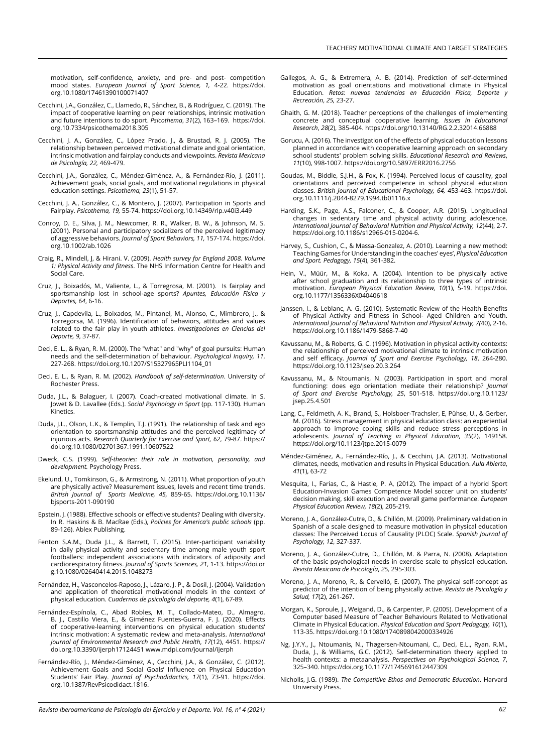motivation, self-confidence, anxiety, and pre- and post- competition mood states. *European Journal of Sport Science, 1,* 4-22. [https://doi.](https://doi.org.10.1080/17461390100071407) [org.10.1080/17461390100071407](https://doi.org.10.1080/17461390100071407)

- Cecchini, J.A., González, C., Llamedo, R., Sánchez, B., & Rodríguez, C. (2019). The impact of cooperative learning on peer relationships, intrinsic motivation and future intentions to do sport. *Psicothema*, *31*(2), 163–169. https://doi. org.10.7334/psicothema2018.305
- Cecchini, J. A., González, C., López Prado, J., & Brustad, R. J. (2005). The relationship between perceived motivational climate and goal orientation, intrinsic motivation and fairplay conducts and viewpoints. *Revista Mexicana de Psicología, 22,* 469-479.
- Cecchini, J.A., González, C., Méndez-Giménez, A., & Fernández-Río, J. (2011). Achievement goals, social goals, and motivational regulations in physical education settings. *Psicothema, 23*(1), 51-57.
- Cecchini, J. A., González, C., & Montero, J. (2007). Participation in Sports and Fairplay. *Psicothema, 19,* 55-74. https://doi.org.10.14349/rlp.v40i3.449
- Conroy, D. E., Silva, J. M., Newcomer, R. R., Walker, B. W., & Johnson, M. S. (2001). Personal and participatory socializers of the perceived legitimacy of aggressive behaviors. *Journal of Sport Behaviors, 11,* 157-174. https://doi. org.10.1002/ab.1026
- Craig, R., Mindell, J, & Hirani. V. (2009). *Health survey for England 2008. Volume 1: Physical Activity and fitness*. The NHS Information Centre for Health and Social Care.
- Cruz, J., Boixadós, M., Valiente, L., & Torregrosa, M. (2001). Is fairplay and sportsmanship lost in school-age sports? *Apuntes, Educación Física y Deportes, 64*, 6-16.
- Cruz, J., Capdevila, L., Boixados, M., Pintanel, M., Alonso, C., Mimbrero, J., & Torregorsa, M. (1996). Identification of behaviors, attitudes and values related to the fair play in youth athletes. *Investigaciones en Ciencias del Deporte, 9*, 37-87.
- Deci, E. L., & Ryan, R. M. (2000). The "what" and "why" of goal pursuits: Human needs and the self-determination of behaviour. *Psychological Inquiry, 11*, 227-268. https://doi.org.10.1207/S15327965PLI1104\_01
- Deci, E. L., & Ryan, R. M. (2002). *Handbook of self-determination*. University of Rochester Press.
- Duda, J.L., & Balaguer, I. (2007). Coach-created motivational climate. In S. Jowet & D. Lavallee (Eds.). *Social Psychology in Sport* (pp. 117-130). Human Kinetics.
- Duda, J.L., Olson, L.K., & Templin, T.J. (1991). The relationship of task and ego orientation to sportsmanship attitudes and the perceived legitimacy of injurious acts. *Research Quarterly for Exercise and Sport, 62*, 79-87. https:// doi.org.10.1080/02701367.1991.10607522
- Dweck, C.S. (1999). *Self-theories: their role in motivation, personality, and development.* Psychology Press.
- Ekelund, U., Tomkinson, G., & Armstrong, N. (2011). What proportion of youth are physically active? Measurement issues, levels and recent time trends. *British Journal of Sports Medicine, 45,* 859-65. https://doi.org.10.1136/ bjsports-2011-090190
- Epstein, J. (1988). Effective schools or effective students? Dealing with diversity. In R. Haskins & B. MacRae (Eds.), *Policies for America's public schools* (pp. 89-126). Ablex Publishing.
- Fenton S.A.M., Duda J.L., & Barrett, T. (2015). Inter-participant variability in daily physical activity and sedentary time among male youth sport footballers: independent associations with indicators of adiposity and cardiorespiratory fitness. *Journal of Sports Sciences, 21*, 1-13. https://doi.or g.10.1080/02640414.2015.1048273
- Fernández, H., Vasconcelos-Raposo, J., Lázaro, J. P., & Dosil, J. (2004). Validation and application of theoretical motivational models in the context of physical education. *Cuadernos de psicología del deporte, 4*(1), 67-89.
- Fernández-Espínola, C., Abad Robles, M. T., Collado-Mateo, D., Almagro, B. J., Castillo Viera, E., & Giménez Fuentes-Guerra, F. J. (2020). Effects of cooperative-learning interventions on physical education students' intrinsic motivation: A systematic review and meta-analysis. *International Journal of Environmental Research and Public Health*, *17*(12), 4451. https:// doi.org.10.3390/ijerph17124451 www.mdpi.com/journal/ijerph
- Fernández-Río, J., Méndez-Giménez, A., Cecchini, J.A., & González, C. (2012). Achievement Goals and Social Goals' Influence on Physical Education Students' Fair Play. *Journal of Psychodidactics, 17*(1), 73-91. https://doi. org.10.1387/RevPsicodidact.1816.
- Gallegos, A. G., & Extremera, A. B. (2014). Prediction of self-determined motivation as goal orientations and motivational climate in Physical Education. *Retos: nuevas tendencias en Educación Física, Deporte y Recreación*, *25,* 23-27.
- Ghaith, G. M. (2018). Teacher perceptions of the challenges of implementing concrete and conceptual cooperative learning. *Issues in Educational Research*, *28*(2), 385-404. https://doi.org/10.13140/RG.2.2.32014.66888
- Gorucu, A. (2016). The investigation of the effects of physical education lessons planned in accordance with cooperative learning approach on secondary school students' problem solving skills. *Educational Research and Reviews*, *11*(10), 998-1007. https://doi.org/10.5897/ERR2016.2756
- Goudas, M., Biddle, S.J.H., & Fox, K. (1994). Perceived locus of causality, goal orientations and perceived competence in school physical education classes. *British Journal of Educational Psychology, 64,* 453-463. https://doi. org.10.1111/j.2044-8279.1994.tb01116.x
- Harding, S.K., Page, A.S., Falconer, C., & Cooper, A.R. (2015). Longitudinal changes in sedentary time and physical activity during adolescence. *International Journal of Behavioral Nutrition and Physical Activity, 12*(44), 2-7. https://doi.org.10.1186/s12966-015-0204-6.
- Harvey, S., Cushion, C., & Massa-Gonzalez, A. (2010). Learning a new method: Teaching Games for Understanding in the coaches' eyes', *Physical Education and Sport. Pedagogy, 15*(4), 361-382.
- Hein, V., Müür, M., & Koka, A. (2004). Intention to be physically active after school graduation and its relationship to three types of intrinsic motivation. *European Physical Education Review, 10*(1), 5-19. https://doi. org.10.1177/1356336X04040618
- Janssen, I., & Leblanc, A. G. (2010). Systematic Review of the Health Benefits of Physical Activity and Fitness in School- Aged Children and Youth. *International Journal of Behavioral Nutrition and Physical Activity, 7(*40), 2-16. https://doi.org.10.1186/1479-5868-7-40
- Kavussanu, M., & Roberts, G. C. (1996). Motivation in physical activity contexts: the relationship of perceived motivational climate to intrinsic motivation and self efficacy. *Journal of Sport and Exercise Psychology, 18*, 264-280. https://doi.org.10.1123/jsep.20.3.264
- Kavussanu, M., & Ntoumanis, N. (2003). Participation in sport and moral functioning: does ego orientation mediate their relationship? *Journal of Sport and Exercise Psychology, 25*, 501-518. [https://doi.org.10.1123/](https://doi.org.10.1123/jsep.25.4.501) [jsep.25.4.501](https://doi.org.10.1123/jsep.25.4.501)
- Lang, C., Feldmeth, A. K., Brand, S., Holsboer-Trachsler, E, Pühse, U., & Gerber, M. (2016). Stress management in physical education class: an experiential approach to improve coping skills and reduce stress perceptions in adolescents. *Journal of Teaching in Physical Education*, *35*(2), 149158. https://doi.org/10.1123/jtpe.2015-0079
- Méndez-Giménez, A., Fernández-Río, J., & Cecchini, J.A. (2013). Motivational climates, needs, motivation and results in Physical Education. *Aula Abierta*, *41*(1), 63-72
- Mesquita, I., Farias, C., & Hastie, P. A, (2012). The impact of a hybrid Sport Education-Invasion Games Competence Model soccer unit on students' decision making, skill execution and overall game performance. *European Physical Education Review, 18*(2), 205-219.
- Moreno, J. A., González-Cutre, D., & Chillón, M. (2009). Preliminary validation in Spanish of a scale designed to measure motivation in physical education classes: The Perceived Locus of Causality (PLOC) Scale. *Spanish Journal of Psychology, 12*, 327-337.
- Moreno, J. A., González-Cutre, D., Chillón, M. & Parra, N. (2008). Adaptation of the basic psychological needs in exercise scale to physical education. *Revista Mexicana de Psicología*, *25,* 295-303.
- Moreno, J. A., Moreno, R., & Cervelló, E. (2007). The physical self-concept as predictor of the intention of being physically active. *Revista de Psicología y Salud, 17*(2), 261-267.
- Morgan, K., Sproule, J., Weigand, D., & Carpenter, P. (2005). Development of a Computer based Measure of Teacher Behaviours Related to Motivational Climate in Physical Education. *Physical Education and Sport Pedagogy, 10*(1), 113-35. https://doi.org.10.1080/1740898042000334926
- Ng, J.Y.Y., J., Ntoumanis, N., Thøgersen-Ntoumani, C., Deci, E.L., Ryan, R.M., Duda, J., & Williams, G.C. (2012). Self-determination theory applied to health contexts: a metaanalysis. *Perspectives on Psychological Science, 7*, 325–340. https://doi.org.10.1177/1745691612447309
- Nicholls, J.G. (1989). *The Competitive Ethos and Democratic Education*. Harvard University Press.